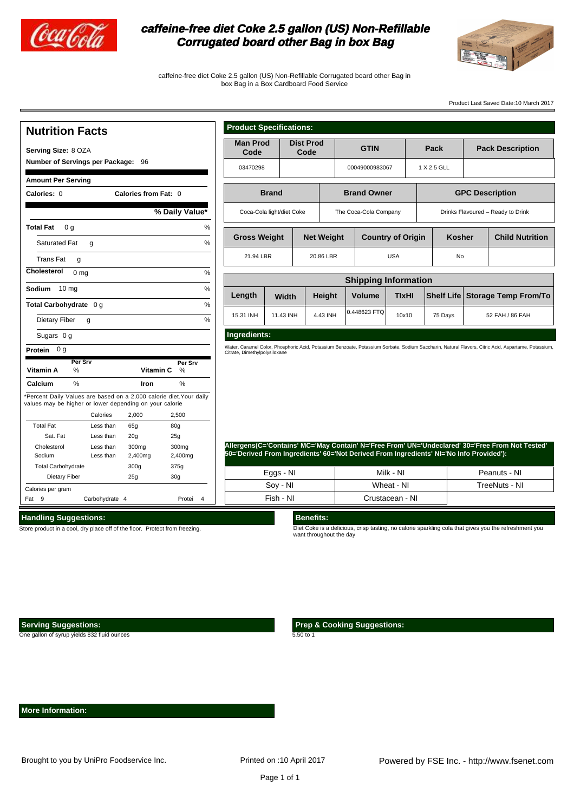

## **caffeine-free diet Coke 2.5 gallon (US) Non-Refillable Corrugated board other Bag in box Bag**



caffeine-free diet Coke 2.5 gallon (US) Non-Refillable Corrugated board other Bag in box Bag in a Box Cardboard Food Service

%

%

Product Last Saved Date:10 March 2017

#### **Nutrition Facts Serving Size:** 8 OZA **Number of Servings per Package:** 96 **Amount Per Serving Calories: Calories from Fat:** 0 0 **Total Fat** 0 g Saturated Fat Trans Fat **Cholesterol** 0 mg % **Sodium** 10 mg % **Total Carbohydrate** 0 g Dietary Fiber Sugars 0 g **Protein** 0 g **% Daily Value\* Vitamin A** % **Calcium** % \*Percent Daily Values are based on a 2,000 calorie diet.Your daily values may be higher or lower depending on your calorie Calories 2,000 2,500 Total Fat Sat. Fat Cholesterol Sodium Total Carbohydrate Dietary Fiber Less than Less than Less than Less than Calories per gram Fat 9 Carbohydrate 4 **1988** Protei 4  $g \sim$  % g  $g \sim$  % Vitamin C % lron % 65g 80g 20g 300mg 2,400mg 300g 25g 25g 300mg 2,400mg 375g 30g **Per Srv Per Srv**

| <b>Product Specifications:</b>                                                          |                                          |                          |           |                          |                |                        |               |  |                             |
|-----------------------------------------------------------------------------------------|------------------------------------------|--------------------------|-----------|--------------------------|----------------|------------------------|---------------|--|-----------------------------|
| <b>Man Prod</b><br>Code                                                                 |                                          | <b>Dist Prod</b><br>Code |           | <b>GTIN</b>              |                |                        | Pack          |  | <b>Pack Description</b>     |
| 03470298                                                                                |                                          |                          |           |                          | 00049000983067 |                        | 1 X 2.5 GLL   |  |                             |
| <b>Brand</b><br><b>Brand Owner</b>                                                      |                                          |                          |           |                          |                | <b>GPC Description</b> |               |  |                             |
| The Coca-Cola Company<br>Coca-Cola light/diet Coke<br>Drinks Flavoured - Ready to Drink |                                          |                          |           |                          |                |                        |               |  |                             |
|                                                                                         | <b>Gross Weight</b><br><b>Net Weight</b> |                          |           | <b>Country of Origin</b> |                |                        | <b>Kosher</b> |  | <b>Child Nutrition</b>      |
| 21.94 LBR                                                                               |                                          |                          | 20.86 LBR |                          | <b>USA</b>     |                        | No            |  |                             |
| <b>Shipping Information</b>                                                             |                                          |                          |           |                          |                |                        |               |  |                             |
| Length                                                                                  | <b>Width</b>                             |                          | Height    | <b>Volume</b>            | <b>TIxHI</b>   |                        | Shelf Life    |  | <b>Storage Temp From/To</b> |
| 15.31 INH                                                                               | 11.43 INH                                |                          | 4.43 INH  | 0.448623 FTO             | 10x10          |                        |               |  | 52 FAH / 86 FAH             |
| Ingredients:                                                                            |                                          |                          |           |                          |                |                        |               |  |                             |

Water, Caramel Color, Phosphoric Acid, Potassium Benzoate, Potassium Sorbate, Sodium Saccharin, Natural Flavors, Citric Acid, Aspartame, Potassium, Citrate, Dimethylpolysiloxane

**Allergens(C='Contains' MC='May Contain' N='Free From' UN='Undeclared' 30='Free From Not Tested' 50='Derived From Ingredients' 60='Not Derived From Ingredients' NI='No Info Provided'):**

| Eggs - NI | Milk - NI       | Peanuts - NI  |
|-----------|-----------------|---------------|
| Soy - NI  | Wheat - NI      | TreeNuts - NI |
| Fish - NI | Crustacean - NI |               |

#### **Handling Suggestions:**

Store product in a cool, dry place off of the floor. Protect from freezing.

## **Benefits:**

Diet Coke is a delicious, crisp tasting, no calorie sparkling cola that gives you the refreshment you want throughout the day

 **Serving Suggestions:**

One gallon of syrup yields 832 fluid ounces

 **Prep & Cooking Suggestions:**

5.50 to 1

 **More Information:**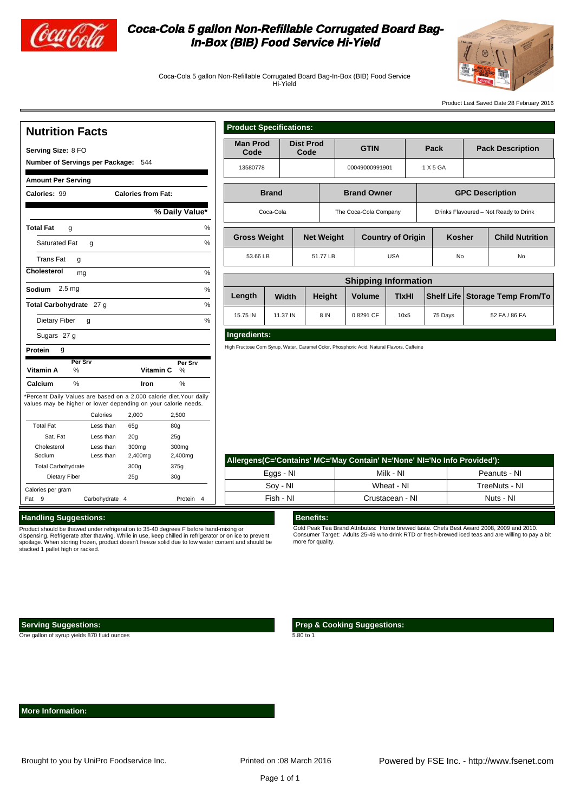

# **Coca-Cola 5 gallon Non-Refillable Corrugated Board Bag-In-Box (BIB) Food Service Hi-Yield**



Coca-Cola 5 gallon Non-Refillable Corrugated Board Bag-In-Box (BIB) Food Service Hi-Yield

Product Last Saved Date:28 February 2016

## **Nutrition Facts**

Total Fat Sat. Fat Cholesterol Sodium Total Carbohydrate Dietary Fiber

Calories per gram

 **Product Specifications:**

| Serving Size: 8 FO                                             |              |           | <b>Man Prod</b><br>Code |                                                                    | <b>Dist Prod</b><br>Code    |                                                                                            | <b>GTIN</b>    |               |                       | Pack               |                          | <b>Pack Description</b> |                                       |               |                        |                        |
|----------------------------------------------------------------|--------------|-----------|-------------------------|--------------------------------------------------------------------|-----------------------------|--------------------------------------------------------------------------------------------|----------------|---------------|-----------------------|--------------------|--------------------------|-------------------------|---------------------------------------|---------------|------------------------|------------------------|
| Number of Servings per Package: 544                            |              |           |                         |                                                                    |                             |                                                                                            |                |               |                       |                    |                          |                         |                                       |               |                        |                        |
|                                                                |              |           |                         | 13580778                                                           |                             |                                                                                            | 00049000991901 |               |                       | 1 X 5 GA           |                          |                         |                                       |               |                        |                        |
| <b>Amount Per Serving</b>                                      |              |           |                         |                                                                    |                             |                                                                                            |                |               |                       |                    |                          |                         |                                       |               |                        |                        |
| Calories: 99<br><b>Calories from Fat:</b>                      |              |           |                         |                                                                    | <b>Brand</b>                |                                                                                            |                |               |                       | <b>Brand Owner</b> |                          |                         |                                       |               | <b>GPC Description</b> |                        |
| % Daily Value*                                                 |              |           |                         |                                                                    | Coca-Cola                   |                                                                                            |                |               | The Coca-Cola Company |                    |                          |                         | Drinks Flavoured - Not Ready to Drink |               |                        |                        |
| <b>Total Fat</b><br>%<br>g                                     |              |           |                         |                                                                    |                             |                                                                                            |                |               |                       |                    |                          |                         |                                       |               |                        |                        |
| Saturated Fat                                                  | $\mathbf{q}$ |           |                         |                                                                    | %                           | <b>Gross Weight</b>                                                                        |                |               | <b>Net Weight</b>     |                    | <b>Country of Origin</b> |                         | <b>Kosher</b>                         |               |                        | <b>Child Nutrition</b> |
| <b>Trans Fat</b><br>g                                          |              |           |                         | 53.66 LB                                                           |                             |                                                                                            | 51.77 LB       |               | <b>USA</b>            |                    | No                       |                         | No                                    |               |                        |                        |
| Cholesterol<br>%<br>mg                                         |              |           |                         |                                                                    |                             |                                                                                            |                |               |                       |                    |                          |                         |                                       |               |                        |                        |
| Sodium 2.5 mg<br>%                                             |              |           |                         |                                                                    | <b>Shipping Information</b> |                                                                                            |                |               |                       |                    |                          |                         |                                       |               |                        |                        |
|                                                                |              |           | Length                  | Width                                                              |                             | Height                                                                                     |                | <b>Volume</b> | <b>TIxHI</b>          |                    | <b>Shelf Life</b>        |                         | <b>Storage Temp From/To</b>           |               |                        |                        |
| $\frac{0}{0}$<br>Total Carbohydrate 27 g                       |              |           |                         | 15.75 IN                                                           | 11.37 IN                    |                                                                                            | 8 IN           |               | 0.8291 CF             | 10x5               |                          | 75 Days                 |                                       | 52 FA / 86 FA |                        |                        |
| Dietary Fiber                                                  | g            |           |                         |                                                                    | $\frac{0}{0}$               |                                                                                            |                |               |                       |                    |                          |                         |                                       |               |                        |                        |
| Sugars 27 g                                                    |              |           |                         |                                                                    |                             | Ingredients:                                                                               |                |               |                       |                    |                          |                         |                                       |               |                        |                        |
| Protein<br>g                                                   |              |           |                         |                                                                    |                             | High Fructose Corn Syrup, Water, Caramel Color, Phosphoric Acid, Natural Flavors, Caffeine |                |               |                       |                    |                          |                         |                                       |               |                        |                        |
|                                                                | Per Srv      |           |                         | Per Srv                                                            |                             |                                                                                            |                |               |                       |                    |                          |                         |                                       |               |                        |                        |
| Vitamin A                                                      | %            |           | Vitamin C               | %                                                                  |                             |                                                                                            |                |               |                       |                    |                          |                         |                                       |               |                        |                        |
| Calcium                                                        | $\%$         |           | Iron                    | $\%$                                                               |                             |                                                                                            |                |               |                       |                    |                          |                         |                                       |               |                        |                        |
| values may be higher or lower depending on your calorie needs. |              |           |                         | Percent Daily Values are based on a 2,000 calorie diet. Your daily |                             |                                                                                            |                |               |                       |                    |                          |                         |                                       |               |                        |                        |
|                                                                | Calories     |           | 2,000                   | 2,500                                                              |                             |                                                                                            |                |               |                       |                    |                          |                         |                                       |               |                        |                        |
| <b>Total Fat</b>                                               |              | Less than | 65g                     | 80 <sub>g</sub>                                                    |                             |                                                                                            |                |               |                       |                    |                          |                         |                                       |               |                        |                        |
| Sat. Fat                                                       |              | Less than | 20 <sub>g</sub>         | 25g                                                                |                             |                                                                                            |                |               |                       |                    |                          |                         |                                       |               |                        |                        |
| Cholesterol                                                    |              | Less than | 300mg                   | 300 <sub>mg</sub>                                                  |                             |                                                                                            |                |               |                       |                    |                          |                         |                                       |               |                        |                        |
| Sodium                                                         |              | Less than | 2,400mg                 | 2,400mg                                                            |                             |                                                                                            |                |               |                       |                    |                          | <b>STATE STATE</b>      |                                       |               |                        |                        |

| Allergens (C='Contains' MC='May Contain' N='None' NI='No Info Provided'): |                 |               |  |  |  |  |  |
|---------------------------------------------------------------------------|-----------------|---------------|--|--|--|--|--|
| Eggs - NI                                                                 | Milk - NI       | Peanuts - NI  |  |  |  |  |  |
| Sov - NI                                                                  | Wheat - NI      | TreeNuts - NI |  |  |  |  |  |
| Fish - NI                                                                 | Crustacean - NI | Nuts - NI     |  |  |  |  |  |

#### **Handling Suggestions:**

Product should be thawed under refrigeration to 35-40 degrees F before hand-mixing or dispensing. Refrigerate after thawing. While in use, keep chilled in refrigerator or on ice to prevent spoilage. When storing frozen, product doesn't freeze solid due to low water content and should be stacked 1 pallet high or racked.

Fat 9 Carbohydrate 4 **1988** Protein 4

300g 25g

375g 30g

### **Benefits:**

Gold Peak Tea Brand Attributes: Home brewed taste. Chefs Best Award 2008, 2009 and 2010. Consumer Target: Adults 25-49 who drink RTD or fresh-brewed iced teas and are willing to pay a bit more for quality.

### **Serving Suggestions:**

One gallon of syrup yields 870 fluid ounces

 **Prep & Cooking Suggestions:**

5.80 to 1

#### **More Information:**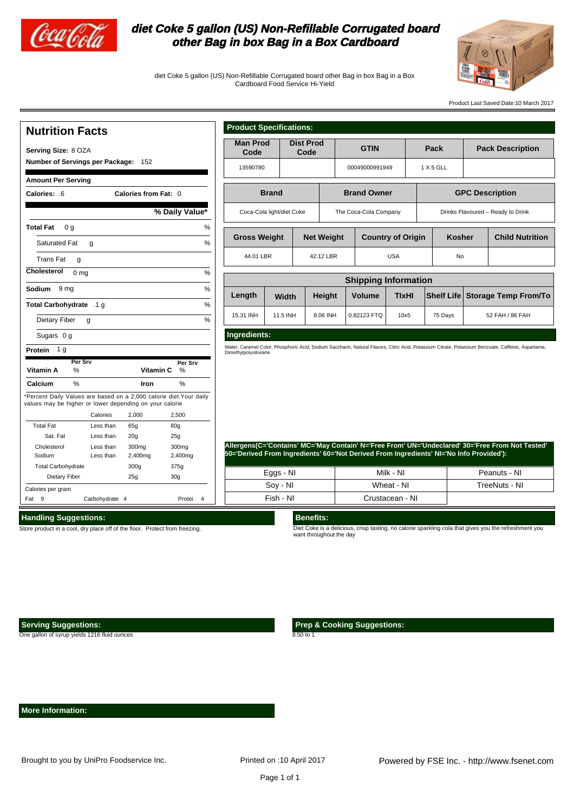

## **diet Coke 5 gallon (US) Non-Refillable Corrugated board other Bag in box Bag in a Box Cardboard**

diet Coke 5 gallon (US) Non-Refillable Corrugated board other Bag in box Bag in a Box Cardboard Food Service Hi-Yield



Product Last Saved Date:10 March 2017

#### **Nutrition Facts Serving Size:** 8 OZA **Number of Servings per Package:** 152 **Amount Per Serving Calories: Calories from Fat:** .6 0 **Total Fat** 0 g Saturated Fat Trans Fat **Cholesterol** 0 mg % **Sodium** 9 mg % **Total Carbohydrate** .1 g Dietary Fiber Sugars 0 g **Protein** 1 g  $%$  Dail **Vitamin A Vitamin C** % % **Calcium Iron** \*Percent Daily Values are based on a 2,000 calorie diet.Your daily values may be higher or lower depending on your calorie Calories 2,000 2,5 Total Fat Sat. Fat Cholesterol Sodium Total Carbohydrate Dietary Fiber Less than 65g 80g Less than 20g Less than 300mg Less than 2,400mg Calories per gram Fat 9 Carbohydrate 4 **1988** Protei 4  $g \sim$  % g  $g \sim$  % Iron 300g 25g  $25<sub>g</sub>$  $30$ 2.4 375g 30g **Per Srv Per Srv**

| <b>Product Specifications:</b> |  |
|--------------------------------|--|
|                                |  |
|                                |  |

 $\mathbf{L}$ 

| Code                                                                                    |                       | <b>Dist Prod</b><br>Code |                          | <b>GTIN</b>                 |                         |               | Pack       |                                                             | <b>Pack Description</b>                                                                                                                            |  |
|-----------------------------------------------------------------------------------------|-----------------------|--------------------------|--------------------------|-----------------------------|-------------------------|---------------|------------|-------------------------------------------------------------|----------------------------------------------------------------------------------------------------------------------------------------------------|--|
| 13590780                                                                                |                       |                          |                          | 00049000991949              |                         | 1 X 5 GLL     |            |                                                             |                                                                                                                                                    |  |
| <b>Brand</b>                                                                            |                       |                          |                          | <b>Brand Owner</b>          |                         |               |            | <b>GPC Description</b><br>Drinks Flavoured - Ready to Drink |                                                                                                                                                    |  |
| Coca-Cola light/diet Coke                                                               |                       |                          |                          | The Coca-Cola Company       |                         |               |            |                                                             |                                                                                                                                                    |  |
| <b>Gross Weight</b>                                                                     |                       | <b>Net Weight</b>        | <b>Country of Origin</b> |                             |                         | <b>Kosher</b> |            | <b>Child Nutrition</b>                                      |                                                                                                                                                    |  |
| 44.01 LBR                                                                               |                       | 42.12 LBR                | <b>USA</b>               |                             |                         | No            |            |                                                             |                                                                                                                                                    |  |
|                                                                                         |                       |                          |                          | <b>Shipping Information</b> |                         |               |            |                                                             |                                                                                                                                                    |  |
| Length                                                                                  | Width                 |                          | Height                   | <b>Volume</b>               | <b>TixHI</b>            |               | Shelf Life |                                                             | <b>Storage Temp From/To</b>                                                                                                                        |  |
| 15.31 INH                                                                               | 11.5 INH              |                          | 8.06 INH                 | 0.82123 FTQ                 | 10x5                    |               | 75 Days    |                                                             | 52 FAH / 86 FAH                                                                                                                                    |  |
| Dimethylpolysiloxane                                                                    |                       |                          |                          |                             |                         |               |            |                                                             | Water, Caramel Color, Phosphoric Acid, Sodium Saccharin, Natural Flavors, Citric Acid, Potassium Citrate, Potassium Benzoate, Caffeine, Aspartame, |  |
| 50='Derived From Ingredients' 60='Not Derived From Ingredients' NI='No Info Provided'): | Eggs - NI<br>Soy - NI |                          |                          |                             | Milk - NI<br>Wheat - NI |               |            |                                                             | Allergens(C='Contains' MC='May Contain' N='Free From' UN='Undeclared' 30='Free From Not Tested'<br>Peanuts - NI<br>TreeNuts - NI                   |  |

## **Handling Suggestions:**

Store product in a cool, dry place off of the floor. Protect from

### **Serving Suggestions:**

One gallon of syrup yields 1216 fluid ounces

want throughout the day

 **More Information:**

 **Prep & Cooking Suggestions:**

8.50 to 1